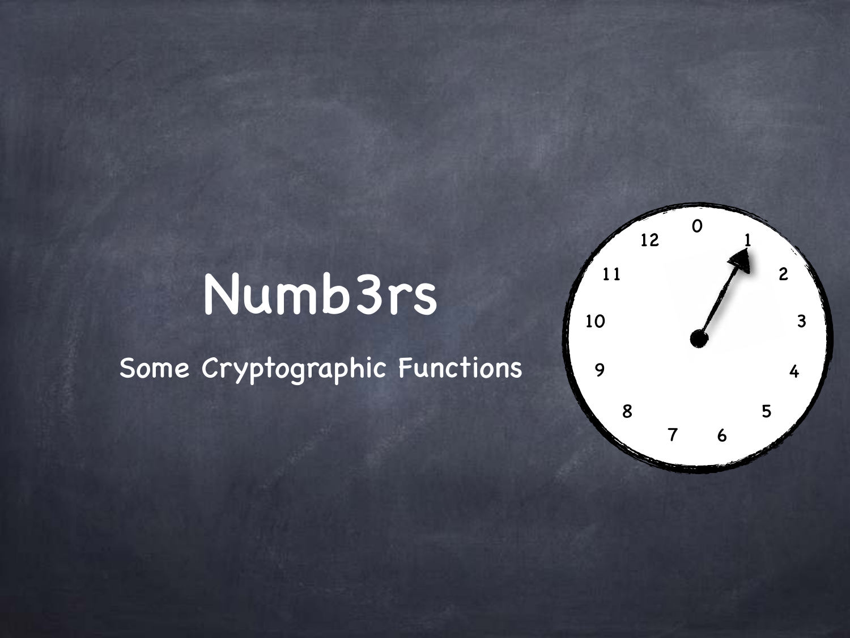#### 6

## Numb3rs

Some Cryptographic Functions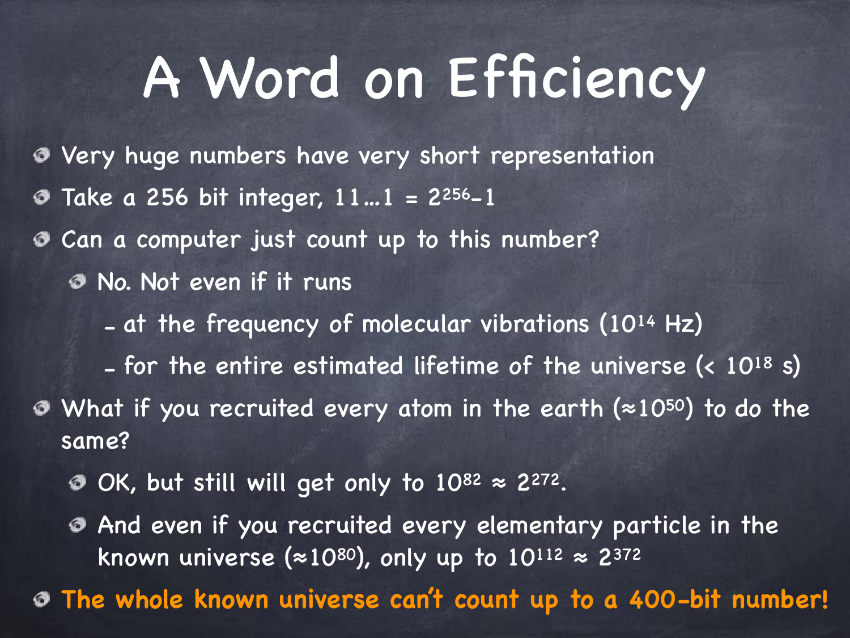## A Word on Efficiency

- Very huge numbers have very short representation
- Take a 256 bit integer,  $11...1 = 2^{256}-1$
- Can a computer just count up to this number?
	- No. Not even if it runs
		- at the frequency of molecular vibrations (10<sup>14</sup> Hz)
- for the entire estimated lifetime of the universe (< 1018 s) What if you recruited every atom in the earth (≈1050) to do the same?
	- OK, but still will get only to  $10^{82} \approx 2^{272}$ .
	- And even if you recruited every elementary particle in the known universe ( $\approx$ 10<sup>80</sup>), only up to 10<sup>112</sup>  $\approx$  2<sup>372</sup>
- **The whole known universe can't count up to a 400-bit number!**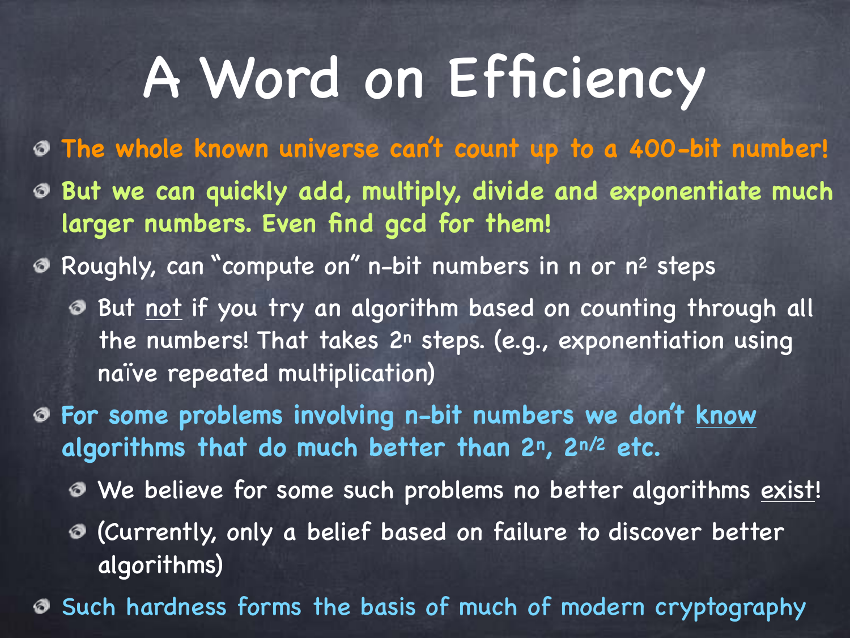## A Word on Efficiency

**The whole known universe can't count up to a 400-bit number! But we can quickly add, multiply, divide and exponentiate much larger numbers. Even find gcd for them!**

Roughly, can "compute on" n-bit numbers in n or n2 steps

But not if you try an algorithm based on counting through all the numbers! That takes  $2<sup>n</sup>$  steps. (e.g., exponentiation using naïve repeated multiplication)

**For some problems involving n-bit numbers we don't know algorithms that do much better than 2n, 2n/2 etc.**

We believe for some such problems no better algorithms exist!

(Currently, only a belief based on failure to discover better algorithms)

Such hardness forms the basis of much of modern cryptography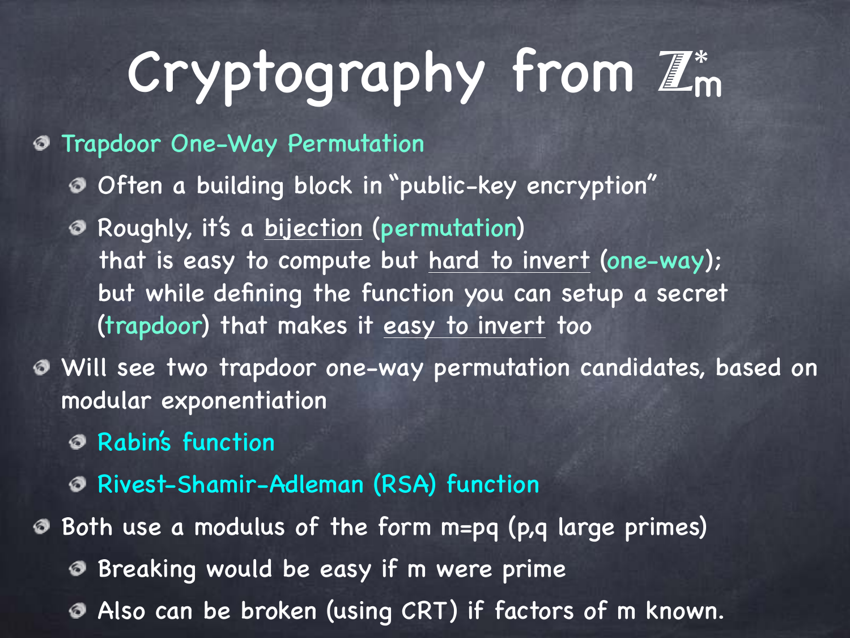# Cryptography from  $\mathbb{Z}_m^*$

#### Trapdoor One-Way Permutation จ

- Often a building block in "public-key encryption"
- Roughly, it's a bijection (permutation) that is easy to compute but hard to invert (one-way); but while defining the function you can setup a secret (trapdoor) that makes it easy to invert too
- Will see two trapdoor one-way permutation candidates, based on modular exponentiation
	- Rabin's function
	- Rivest-Shamir-Adleman (RSA) function
- Both use a modulus of the form m=pq (p,q large primes)
	- **Breaking would be easy if m were prime**
	- Also can be broken (using CRT) if factors of m known.ぁ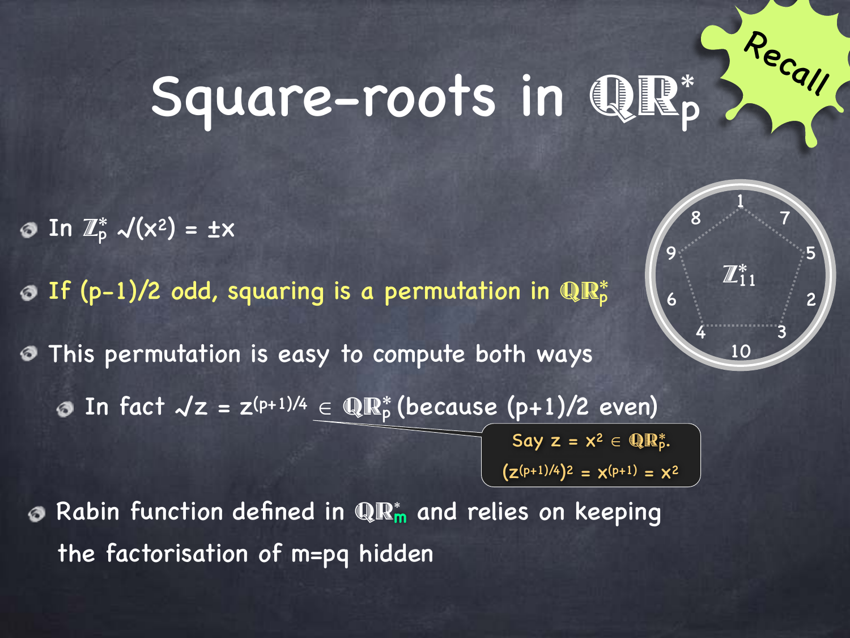## Square-roots in QR\*

In  $\mathbb{Z}_p^*$   $\mathcal{N}(x^2) = \pm x$ 

If (p-1)/2 odd, squaring is a permutation in  $\mathbb{R}^*_p$ 

This permutation is easy to compute both ways ぁ In fact  $\mathcal{N} z = z^{(p+1)/4} \in \mathbb{QR}_p^*$  (because (p+1)/2 even)  $\circledcirc$ 

Say  $z = x^2 \in \mathbb{Q} \mathbb{R}^*_p$ .  $(z^{(p+1)/4})^2 = x^{(p+1)} = x^2$ 

Rabin function defined in QR\* **<sup>m</sup>** and relies on keeping ぁ the factorisation of m=pq hidden



Recall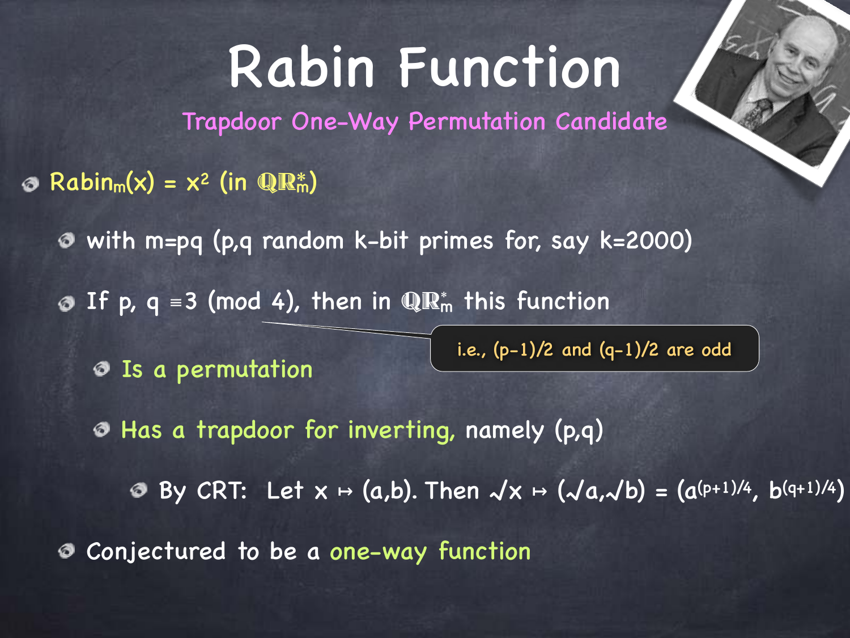## Rabin Function

Trapdoor One-Way Permutation Candidate

- $Rabin_m(x) = x^2$  (in  $\mathbb{R}^m$ )
	- with m=pq (p,q random k-bit primes for, say k=2000)
	- If p,  $q = 3 \pmod{4}$ , then in  $\mathbb{QR}_m^*$  this function

Is a permutation

i.e.,  $(p-1)/2$  and  $(q-1)/2$  are odd

Has a trapdoor for inverting, namely (p,q)

**8** By CRT: Let  $x \mapsto (a,b)$ . Then  $\sqrt{x} \mapsto (\sqrt{a},\sqrt{b}) = (a^{(p+1)/4}, b^{(q+1)/4})$ 

Conjectured to be a one-way function ぁ